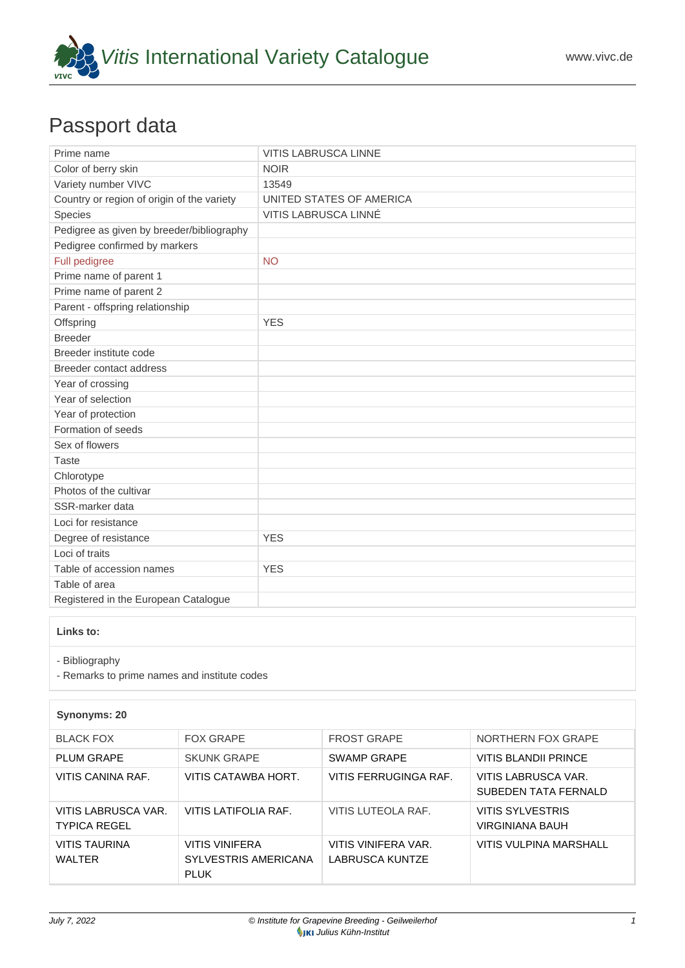

## Passport data

| Prime name                                 | <b>VITIS LABRUSCA LINNE</b> |
|--------------------------------------------|-----------------------------|
| Color of berry skin                        | <b>NOIR</b>                 |
| Variety number VIVC                        | 13549                       |
| Country or region of origin of the variety | UNITED STATES OF AMERICA    |
| Species                                    | VITIS LABRUSCA LINNÉ        |
| Pedigree as given by breeder/bibliography  |                             |
| Pedigree confirmed by markers              |                             |
| Full pedigree                              | <b>NO</b>                   |
| Prime name of parent 1                     |                             |
| Prime name of parent 2                     |                             |
| Parent - offspring relationship            |                             |
| Offspring                                  | <b>YES</b>                  |
| <b>Breeder</b>                             |                             |
| Breeder institute code                     |                             |
| Breeder contact address                    |                             |
| Year of crossing                           |                             |
| Year of selection                          |                             |
| Year of protection                         |                             |
| Formation of seeds                         |                             |
| Sex of flowers                             |                             |
| Taste                                      |                             |
| Chlorotype                                 |                             |
| Photos of the cultivar                     |                             |
| SSR-marker data                            |                             |
| Loci for resistance                        |                             |
| Degree of resistance                       | <b>YES</b>                  |
| Loci of traits                             |                             |
| Table of accession names                   | <b>YES</b>                  |
| Table of area                              |                             |
| Registered in the European Catalogue       |                             |

**Links to:**

- [Bibliography](https://www.vivc.de/index.php?r=literaturverweise%2Fbibliography&LiteraturverweiseSearch[kenn_nr2]=13549&LiteraturverweiseSearch[leitname2]=VITIS LABRUSCA LINNE)

- [Remarks to prime names and institute codes](#page--1-0)

## **Synonyms: 20**

| <b>BLACK FOX</b>                           | <b>FOX GRAPE</b>                                      | <b>FROST GRAPE</b>                            | NORTHERN FOX GRAPE                          |
|--------------------------------------------|-------------------------------------------------------|-----------------------------------------------|---------------------------------------------|
| <b>PLUM GRAPE</b>                          | <b>SKUNK GRAPE</b>                                    | SWAMP GRAPE                                   | VITIS BLANDII PRINCE                        |
| VITIS CANINA RAF.                          | VITIS CATAWBA HORT.                                   | VITIS FERRUGINGA RAF.                         | VITIS LABRUSCA VAR.<br>SUBEDEN TATA FERNALD |
| VITIS LABRUSCA VAR.<br><b>TYPICA REGEL</b> | VITIS LATIFOLIA RAF.                                  | VITIS LUTEOLA RAF.                            | VITIS SYLVESTRIS<br><b>VIRGINIANA BAUH</b>  |
| VITIS TAURINA<br>WALTER                    | VITIS VINIFERA<br>SYLVESTRIS AMERICANA<br><b>PLUK</b> | VITIS VINIFERA VAR.<br><b>LABRUSCA KUNTZE</b> | VITIS VULPINA MARSHALL                      |